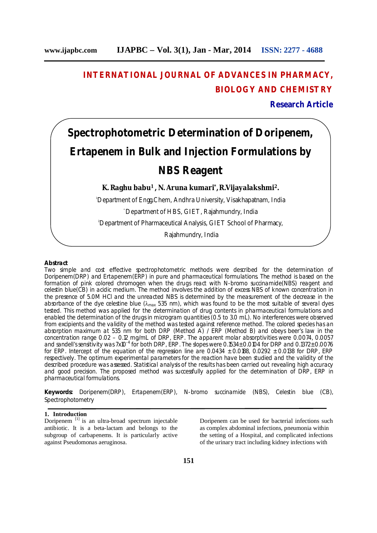# **INTERNATIONAL JOURNAL OF ADVANCES IN PHARMACY, BIOLOGY AND CHEMISTRY**

**Research Article**

# **Spectrophotometric Determination of Doripenem, Ertapenem in Bulk and Injection Formulations by NBS Reagent**

**K. Raghu babu<sup>1</sup>, N. Aruna kumari\* ,R.Vijayalakshmi<sup>2</sup>.**

<sup>1</sup>Department of Engg.Chem, Andhra University, Visakhapatnam, India \* Department of HBS, GIET, Rajahmundry, India <sup>2</sup>Department of Pharmaceutical Analysis, GIET School of Pharmacy,

Rajahmundry, India

#### **Abstract**

Two simple and cost effective spectrophotometric methods were described for the determination of Doripenem(DRP) and Ertapenem(ERP) in pure and pharmaceutical formulations. The method is based on the formation of pink colored chromogen when the drugs react with N-bromo succinamide(NBS) reagent and celestin blue(CB) in acidic medium. The method involves the addition of excess NBS of known concentration in the presence of 5.0M HCl and the unreacted NBS is determined by the measurement of the decrease in the absorbance of the dye celestine blue ( $\lambda_{max}$  535 nm), which was found to be the most suitable of several dyes tested. This method was applied for the determination of drug contents in pharmaceutical formulations and enabled the determination of the drugs in microgram quantities (0.5 to 3.0 mL). No interferences were observed from excipients and the validity of the method was tested against reference method. The colored species has an absorption maximum at 535 nm for both DRP (Method A) / ERP (Method B) and obeys beer's law in the concentration range 0.02 – 0.12 mg/mL of DRP, ERP. The apparent molar absorptivities were 0.0074, 0.0057 and sandell's sensitivity was 7x10<sup>-4</sup> for both DRP, ERP. The slopes were 0.1534± 0.0104 for DRP and 0.1372± 0.0076 for ERP. Intercept of the equation of the regression line are 0.0434 ± 0.0188, 0.0292 ± 0.0138 for DRP, ERP respectively. The optimum experimental parameters for the reaction have been studied and the validity of the described procedure was assessed. Statistical analysis of the results has been carried out revealing high accuracy and good precision. The proposed method was successfully applied for the determination of DRP, ERP in pharmaceutical formulations.

**Keywords:** Doripenem(DRP), Ertapenem(ERP), N-bromo succinamide (NBS), Celestin blue (CB), Spectrophotometry

#### **1. Introduction**

Doripenem [1] is an ultra-broad spectrum injectable antibiotic. It is a beta-lactam and belongs to the subgroup of carbapenems. It is particularly active against Pseudomonas aeruginosa.

Doripenem can be used for bacterial infections such as complex abdominal infections, pneumonia within the setting of a Hospital, and complicated infections of the urinary tract including kidney infections with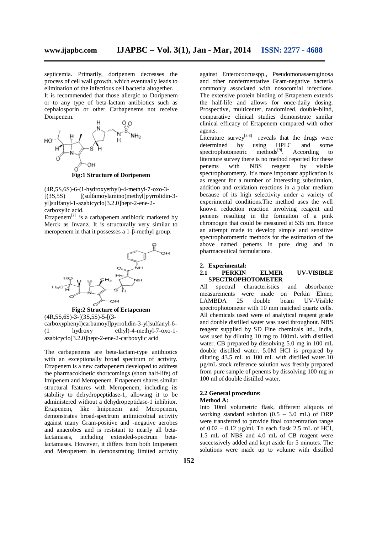septicemia. Primarily, doripenem decreases the process of cell wall growth, which eventually leads to elimination of the infectious cell bacteria altogether. It is recommended that those allergic to Doripenem

or to any type of beta-lactam antibiotics such as cephalosporin or other Carbapenems not receive Doripenem.



**Fig:1 Structure of Doripenem**

(4R,5S,6S)-6-(1-hydroxyethyl)-4-methyl-7-oxo-3- [(3S,5S) [(sulfamoylamino)methyl]pyrrolidin-3 yl]sulfanyl-1-azabicyclo[3.2.0]hept-2-ene-2 carboxylic acid.

Ertapenem $^{[2]}$  is a carbapenem antibiotic marketed by Merck as Invanz. It is structurally very similar to meropenem in that it possesses a 1-β-methyl group.



**Fig:2 Structure of Ertapenem**  $(4R, 5S, 6S) - 3 - [(3S, 5S) - 5 - [(3-S) + (3S, 6S)]$ 

carboxyphenyl)carbamoyl]pyrrolidin-3-yl]sulfanyl-6- (1 hydroxy ethyl)-4-methyl-7-oxo-1 azabicyclo[3.2.0]hept-2-ene-2-carboxylic acid

The carbapenems are beta-lactam-type antibiotics with an exceptionally broad spectrum of activity. Ertapenem is a new carbapenem developed to address the pharmacokinetic shortcomings (short half-life) of Imipenem and Meropenem. Ertapenem shares similar structural features with Meropenem, including its stability to dehydropeptidase-1, allowing it to be administered without a dehydropeptidase-1 inhibitor. Ertapenem, like Imipenem and Meropenem, demonstrates broad-spectrum antimicrobial activity against many Gram-positive and -negative aerobes and anaerobes and is resistant to nearly all betalactamases, including extended-spectrum betalactamases. However, it differs from both Imipenem and Meropenem in demonstrating limited activity

against Enterococcusspp., Pseudomonasaeruginosa and other nonfermentative Gram-negative bacteria commonly associated with nosocomial infections. The extensive protein binding of Ertapenem extends the half-life and allows for once-daily dosing. Prospective, multicenter, randomized, double-blind, comparative clinical studies demonstrate similar clinical efficacy of Ertapenem compared with other agents.

Literature survey<sup>[3-8]</sup> reveals that the drugs were determined by using HPLC and some determined by using HPLC and some spectrophotometric methods $[9]$ . According to literature survey there is no method reported for these penems with NBS reagent by visible spectrophotometry. It's more important application is as reagent for a number of interesting substitution, addition and oxidation reactions in a polar medium because of its high selectivity under a variety of experimental conditions.The method uses the well known reduction reaction involving reagent and penems resulting in the formation of a pink chromogen that could be measured at 535 nm. Hence an attempt made to develop simple and sensitive spectrophotometric methods for the estimation of the above named penems in pure drug and in pharmaceutical formulations.

#### **2. Experimental: 2.1 PERKIN ELMER UV-VISIBLE SPECTROPHOTOMETER**

All spectral characteristics and absorbance<br>measurements were made on Perkin Elmer. measurements were made on Perkin Elmer,<br>LAMBDA 25 double beam UV-Visible UV-Visible spectrophotometer with 10 mm matched quartz cells. All chemicals used were of analytical reagent grade and double distilled water was used throughout. NBS reagent supplied by SD Fine chemicals ltd., India, was used by diluting 10 mg to 100mL with distilled water. CB prepared by dissolving 5.0 mg in 100 mL double distilled water. 5.0M HCl is prepared by diluting 43.5 mL to 100 mL with distilled water.10 µg/mL stock reference solution was freshly prepared from pure sample of penems by dissolving 100 mg in 100 ml of double distilled water.

### **2.2 General procedure:**

#### **Method A:**

Into 10ml volumetric flask, different aliquots of working standard solution  $(0.5 - 3.0$  mL) of DRP were transferred to provide final concentration range of  $0.02 - 0.12$  ug/ml. To each flask 2.5 mL of HCl, 1.5 mL of NBS and 4.0 mL of CB reagent were successively added and kept aside for 5 minutes. The solutions were made up to volume with distilled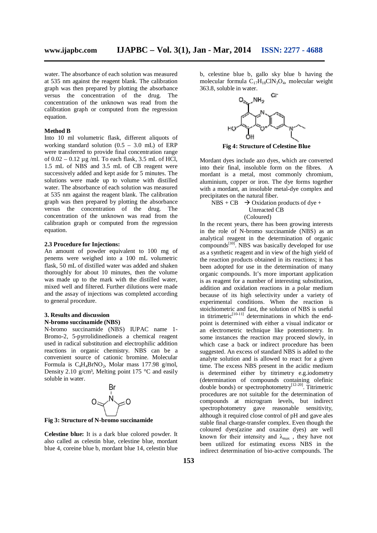water. The absorbance of each solution was measured at 535 nm against the reagent blank. The calibration graph was then prepared by plotting the absorbance versus the concentration of the drug. The concentration of the unknown was read from the calibration graph or computed from the regression equation.

#### **Method B**

Into 10 ml volumetric flask, different aliquots of working standard solution  $(0.5 - 3.0 \text{ mL})$  of ERP were transferred to provide final concentration range of  $0.02 - 0.12 \mu$ g /ml. To each flask, 3.5 mL of HCl, 1.5 mL of NBS and 3.5 mL of CB reagent were successively added and kept aside for 5 minutes. The solutions were made up to volume with distilled water. The absorbance of each solution was measured at 535 nm against the reagent blank. The calibration graph was then prepared by plotting the absorbance versus the concentration of the drug. The concentration of the unknown was read from the calibration graph or computed from the regression equation.

#### **2.3 Procedure for Injections:**

An amount of powder equivalent to 100 mg of penems were weighed into a 100 mL volumetric flask, 50 mL of distilled water was added and shaken thoroughly for about 10 minutes, then the volume was made up to the mark with the distilled water, mixed well and filtered. Further dilutions were made and the assay of injections was completed according to general procedure.

#### **3. Results and discussion N-bromo succinamide (NBS)**

N-bromo succinamide (NBS) IUPAC name 1- Bromo-2, 5-pyrrolidinedioneis a chemical reagent used in radical substitution and electrophilic addition reactions in organic chemistry. NBS can be a convenient source of cationic bromine. Molecular Formula is  $C_4H_4BrNO_2$ , Molar mass 177.98 g/mol, Density 2.10 g/cm<sup>3</sup>, Melting point 175  $\degree$ C and easily soluble in water.



**Fig 3: Structure of N-bromo succinamide**

**Celestine blue:** It is a dark blue colored powder. It also called as celestin blue, celestine blue, mordant blue 4, coreine blue b, mordant blue 14, celestin blue b, celestine blue b, gallo sky blue b having the molecular formula  $C_{17}H_{18}C_{19}O_4$ , molecular weight 363.8, soluble in water.



**Fig 4: Structure of Celestine Blue**

Mordant dyes include azo dyes, which are converted into their final, insoluble form on the fibres. A mordant is a metal, most commonly chromium, aluminium, copper or iron. The dye forms together with a mordant, an insoluble metal-dye complex and precipitates on the natural fiber.

 $NBS + CB \rightarrow Oxidation$  products of dye + Unreacted CB (Coloured)

In the recent years, there has been growing interests in the role of N-bromo succinamide (NBS) as an analytical reagent in the determination of organic  $compounds<sup>[10]</sup>$ . NBS was basically developed for use as a synthetic reagent and in view of the high yield of the reaction products obtained in its reactions; it has been adopted for use in the determination of many organic compounds. It's more important application is as reagent for a number of interesting substitution, addition and oxidation reactions in a polar medium because of its high selectivity under a variety of experimental conditions. When the reaction is stoichiometric and fast, the solution of NBS is useful in titrimetric $[10-11]$  determinations in which the endpoint is determined with either a visual indicator or an electrometric technique like potentiometry. In some instances the reaction may proceed slowly, in which case a back or indirect procedure has been suggested. An excess of standard NBS is added to the analyte solution and is allowed to react for a given time. The excess NBS present in the acidic medium is determined either by titrimetry e.g.iodometry (determination of compounds containing olefinic double bonds) or spectrophotometry<sup>[12-20]</sup>. Titrimetric procedures are not suitable for the determination of compounds at microgram levels, but indirect spectrophotometry gave reasonable sensitivity, although it required close control of pH and gave ales stable final charge-transfer complex. Even though the coloured dyes(azine and oxazine dyes) are well known for their intensity and  $\lambda_{\text{max}}$ , they have not been utilized for estimating excess NBS in the indirect determination of bio-active compounds. The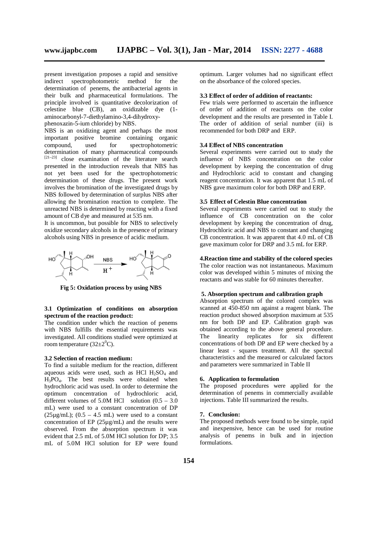present investigation proposes a rapid and sensitive indirect spectrophotometric method for the determination of penems, the antibacterial agents in their bulk and pharmaceutical formulations. The principle involved is quantitative decolorization of celestine blue (CB), an oxidizable dye (1 aminocarbonyl-7-diethylamino-3,4-dihydroxyphenoxazin-5-ium chloride) by NBS.

NBS is an oxidizing agent and perhaps the most important positive bromine containing organic<br>compound, used for spectrophotometric compound, used for spectrophotometric determination of many pharmaceutical compounds  $[21-23]$  close examination of the literature search presented in the introduction reveals that NBS has not yet been used for the spectrophotometric determination of these drugs. The present work involves the bromination of the investigated drugs by NBS followed by determination of surplus NBS after allowing the bromination reaction to complete. The unreacted NBS is determined by reacting with a fixed amount of CB dye and measured at 535 nm.

It is uncommon, but possible for NBS to selectively oxidize secondary alcohols in the presence of primary alcohols using NBS in presence of acidic medium.



**Fig 5: Oxidation process by using NBS**

#### **3.1 Optimization of conditions on absorption spectrum of the reaction product:**

The condition under which the reaction of penems with NBS fulfills the essential requirements was investigated. All conditions studied were optimized at room temperature  $(32\pm2\degree C)$ .

#### **3.2 Selection of reaction medium:**

To find a suitable medium for the reaction, different aqueous acids were used, such as HCl  $H_2SO_4$  and H3PO4. The best results were obtained when hydrochloric acid was used. In order to determine the optimum concentration of hydrochloric acid, different volumes of 5.0M HCl solution  $(0.5 - 3.0)$ mL) were used to a constant concentration of DP  $(25\mu\text{g/mL})$ ;  $(0.5 - 4.5 \text{ mL})$  were used to a constant concentration of EP (25µg/mL) and the results were observed. From the absorption spectrum it was evident that 2.5 mL of 5.0M HCl solution for DP; 3.5 mL of 5.0M HCl solution for EP were found

optimum. Larger volumes had no significant effect on the absorbance of the colored species.

#### **3.3 Effect of order of addition of reactants:**

Few trials were performed to ascertain the influence of order of addition of reactants on the color development and the results are presented in Table I. The order of addition of serial number (iii) is recommended for both DRP and ERP.

#### **3.4 Effect of NBS concentration**

Several experiments were carried out to study the influence of NBS concentration on the color development by keeping the concentration of drug and Hydrochloric acid to constant and changing reagent concentration. It was apparent that 1.5 mL of NBS gave maximum color for both DRP and ERP.

#### **3.5 Effect of Celestin Blue concentration**

Several experiments were carried out to study the influence of CB concentration on the color development by keeping the concentration of drug, Hydrochloric acid and NBS to constant and changing CB concentration. It was apparent that 4.0 mL of CB gave maximum color for DRP and 3.5 mL for ERP.

#### **4.Reaction time and stability of the colored species**

The color reaction was not instantaneous. Maximum color was developed within 5 minutes of mixing the reactants and was stable for 60 minutes thereafter.

#### **5. Absorption spectrum and calibration graph**

Absorption spectrum of the colored complex was scanned at 450-850 nm against a reagent blank. The reaction product showed absorption maximum at 535 nm for both DP and EP. Calibration graph was obtained according to the above general procedure.  $linearity$  replicates for six concentrations of both DP and EP were checked by a linear least - squares treatment. All the spectral characteristics and the measured or calculated factors and parameters were summarized in Table II

#### **6. Application to formulation**

The proposed procedures were applied for the determination of penems in commercially available injections. Table III summarized the results.

#### **7. Conclusion:**

The proposed methods were found to be simple, rapid and inexpensive, hence can be used for routine analysis of penems in bulk and in injection formulations.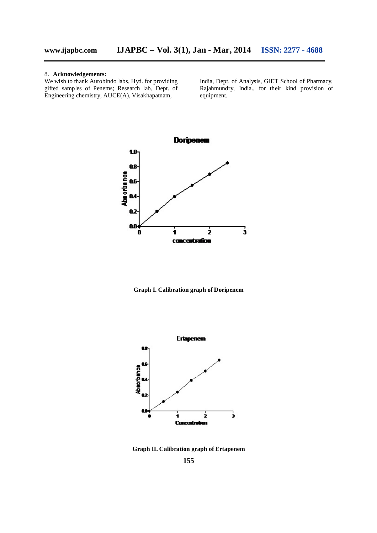#### 8. **Acknowledgements:**

We wish to thank Aurobindo labs, Hyd. for providing gifted samples of Penems; Research lab, Dept. of Engineering chemistry, AUCE(A), Visakhapatnam,

India, Dept. of Analysis, GIET School of Pharmacy, Rajahmundry, India., for their kind provision of equipment.



**Graph I. Calibration graph of Doripenem**



**Graph II. Calibration graph of Ertapenem**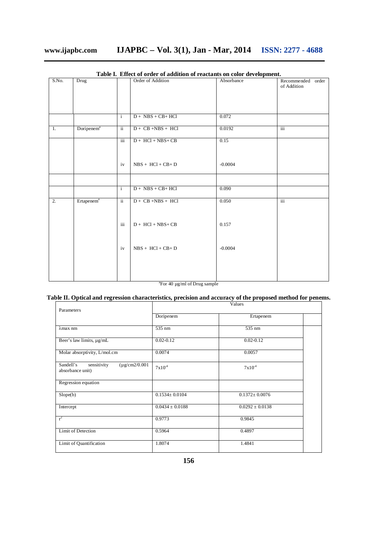## **www.ijapbc.com IJAPBC – Vol. 3(1), Jan - Mar, 2014 ISSN: 2277 - 4688**

| S.No. | <b>Drug</b>            |                          | Order of Addition               | Absorbance | Recommended order<br>of Addition |
|-------|------------------------|--------------------------|---------------------------------|------------|----------------------------------|
|       |                        | $\mathbf{i}$             | $D + NBS + CB + HCI$            | 0.072      |                                  |
| 1.    | Doripenem <sup>a</sup> | $\overline{\mathbf{ii}}$ | $D + CB + NBS + HCl$            | 0.0192     | iii                              |
|       |                        | iii                      | $D + HCl + NBS + CB$            | 0.15       |                                  |
|       |                        | iv                       | $NBS + HCl + CB + D$            | $-0.0004$  |                                  |
|       |                        |                          |                                 |            |                                  |
|       |                        | $\overline{i}$           | $D + NBS + CB + HCl$            | 0.090      |                                  |
| 2.    | Ertapenem <sup>a</sup> | $\overline{\textbf{ii}}$ | $D + \overline{CB + NBS + HCl}$ | 0.050      | iii                              |
|       |                        | iii                      | $D + HCl + NBS + CB$            | 0.157      |                                  |
|       |                        | iv                       | $NBS + HCl + CB + D$            | $-0.0004$  |                                  |
|       |                        |                          |                                 |            |                                  |

**Table I. Effect of order of addition of reactants on color development.**

<sup>a</sup>For 40 µg/ml of Drug sample

### **Table II. Optical and regression characteristics, precision and accuracy of the proposed method for penems.**

| Parameters                                                         | Values              |                     |  |  |
|--------------------------------------------------------------------|---------------------|---------------------|--|--|
|                                                                    | Doripenem           | Ertapenem           |  |  |
| $\lambda$ max nm                                                   | 535 nm              | 535 nm              |  |  |
| Beer's law limits, µg/mL                                           | $0.02 - 0.12$       | $0.02 - 0.12$       |  |  |
| Molar absorptivity, L/mol.cm                                       | 0.0074              | 0.0057              |  |  |
| sensitivity<br>$(\mu$ g/cm2/0.001<br>Sandell's<br>absorbance unit) | $7x10^4$            | $7x10^{-4}$         |  |  |
| Regression equation                                                |                     |                     |  |  |
| Slope(b)                                                           | $0.1534 \pm 0.0104$ | $0.1372 \pm 0.0076$ |  |  |
| Intercept                                                          | $0.0434 \pm 0.0188$ | $0.0292 \pm 0.0138$ |  |  |
| $r^2$                                                              | 0.9773              | 0.9845              |  |  |
| <b>Limit of Detection</b>                                          | 0.5964              | 0.4897              |  |  |
| Limit of Quantification                                            | 1.8074              | 1.4841              |  |  |
|                                                                    |                     |                     |  |  |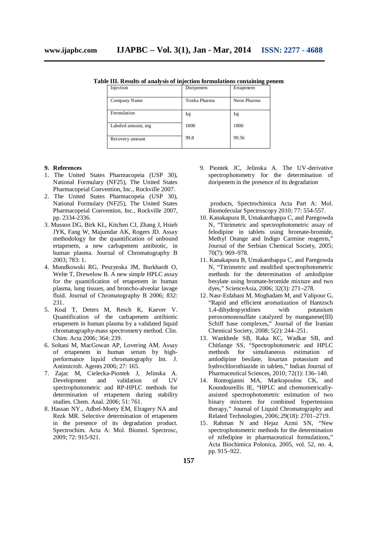**Table III. Results of analysis of injection formulations containing penem**

| Injection          | Doripenem     | Ertapenem   |
|--------------------|---------------|-------------|
| Company Name       | Troika Pharma | Neon Pharma |
| Formulation        | Inj           | Inj         |
| Labeled amount, mg | 1000          | 1000        |
| Recovery amount    | 99.8          | 99.56       |

#### **9. References**

- 1. The United States Pharmacopeia (USP 30), National Formulary (NF25), The United States Pharmacopeial Convention, Inc., Rockville 2007.
- 2. The United States Pharmacopeia (USP 30), National Formulary (NF25), The United States Pharmacopeial Convention, Inc., Rockville 2007, pp. 2334-2336.
- 3. Musson DG, Birk KL, Kitchen CJ, Zhang J, Hsieh JYK, Fang W, Majumdar AK, Rogers JD. Assay methodology for the quantification of unbound ertapenem, a new carbapenem antibiotic, in human plasma. Journal of Chromatography B 2003; 783: 1.
- 4. Mundkowski RG, Peszynska JM, Burkhardt O, Welte T, Drewelow B. A new simple HPLC assay for the quantification of ertapenem in human plasma, lung tissues, and broncho-alveolar lavage fluid. Journal of Chromatography B 2006; 832: 231.
- 5. Koal T, Deters M, Resch K, Kaever V. Quantification of the carbapenem antibiotic ertapenem in human plasma by a validated liquid chromatography-mass spectrometry method. Clin. Chim. Acta 2006; 364: 239.
- 6. Soltani M, MacGowan AP, Lovering AM. Assay of ertapenem in human serum by highperformance liquid chromatography Int. J. Antimicrob. Agents 2006; 27: 165.
- 7. Zajac M, Cielecka-Piontek J, Jelinska A. Development and validation of UV spectrophotometric and RP-HPLC methods for determination of ertapenem during stability studies. Chem. Anal. 2006; 51: 761.
- 8. Hassan NY., Adbel-Moety EM, Elragery NA and Rezk MR. Selective determination of ertapenem in the presence of its degradation product. Spectrochim. Acta A: Mol. Biomol. Spectrosc, 2009; 72: 915-921.

9. Piontek JC, Jelinska A. The UV-derivative spectrophotometry for the determination of doripenem in the presence of its degradation

 products, Spectrochimica Acta Part A: Mol. Biomolecular Spectroscopy 2010; 77: 554-557.

- 10. Kanakapura B, Umakanthappa C, and Paregowda N, "Titrimetric and spectrophotometric assay of felodipine in tablets using bromate-bromide, Methyl Orange and Indigo Carmine reagents," Journal of the Serbian Chemical Society, 2005; 70(7): 969–978.
- 11. Kanakapura B, Umakanthappa C, and Paregowda N, "Titrimetric and modified spectrophotometric methods for the determination of amlodipine besylate using bromate-bromide mixture and two dyes," ScienceAsia, 2006; 32(3): 271–278.
- 12. Nasr-Esfahani M, Moghadam M, and Valipour G, "Rapid and efficient aromatization of Hantzsch<br>1,4-dihydropyridines with potassium 1,4-dihydrop yridines with peroxomonosulfate catalyzed by manganese(III) Schiff base complexes," Journal of the Iranian Chemical Society, 2008; 5(2): 244–251.
- 13. Wankhede SB, Raka KC, Wadkar SB, and Chitlange SS, "Spectrophotometric and HPLC methods for simultaneous estimation of amlodipine besilate, losartan potassium and hydrochlorothiazide in tablets," Indian Journal of Pharmaceutical Sciences, 2010; 72(1): 136–140.
- 14. Rontogianni MA, Markopoulou CK, and Koundourellis JE, "HPLC and chemometricallyassisted spectrophotometric estimation of two binary mixtures for combined hypertension therapy," Journal of Liquid Chromatography and Related Technologies, 2006; 29(18): 2701–2719.
- 15. Rahman N and Hejaz Azmi SN, "New spectrophotometric methods for the determination of nifedipine in pharmaceutical formulations," Acta Biochimica Polonica, 2005, vol. 52, no. 4, pp. 915–922.